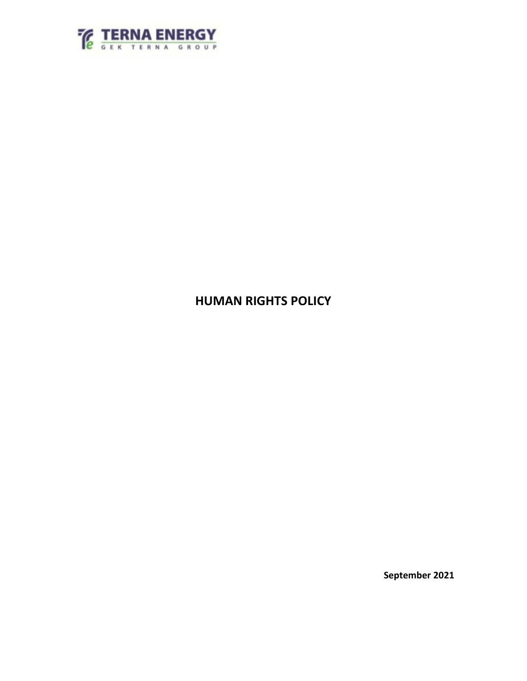

# **HUMAN RIGHTS POLICY**

**September 2021**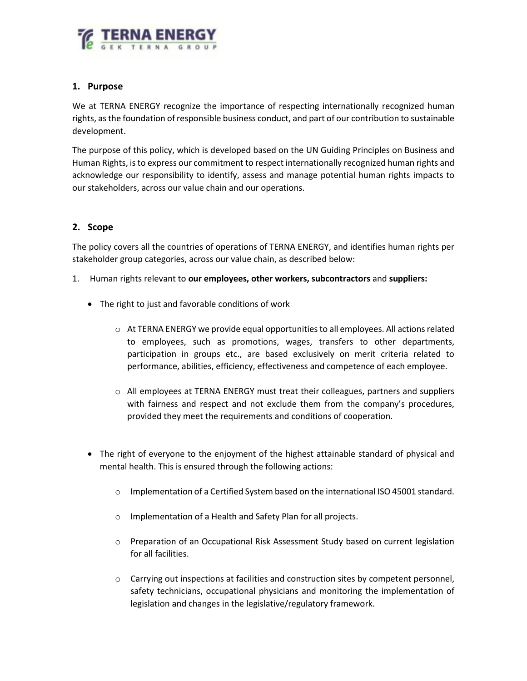

## **1. Purpose**

We at TERNA ENERGY recognize the importance of respecting internationally recognized human rights, as the foundation of responsible business conduct, and part of our contribution to sustainable development.

The purpose of this policy, which is developed based on the UN Guiding Principles on Business and Human Rights, is to express our commitment to respect internationally recognized human rights and acknowledge our responsibility to identify, assess and manage potential human rights impacts to our stakeholders, across our value chain and our operations.

# **2. Scope**

The policy covers all the countries of operations of TERNA ENERGY, and identifies human rights per stakeholder group categories, across our value chain, as described below:

- 1. Human rights relevant to **our employees, other workers, subcontractors** and **suppliers:**
	- The right to just and favorable conditions of work
		- $\circ$  At TERNA ENERGY we provide equal opportunities to all employees. All actions related to employees, such as promotions, wages, transfers to other departments, participation in groups etc., are based exclusively on merit criteria related to performance, abilities, efficiency, effectiveness and competence of each employee.
		- o All employees at TERNA ENERGY must treat their colleagues, partners and suppliers with fairness and respect and not exclude them from the company's procedures, provided they meet the requirements and conditions of cooperation.
	- The right of everyone to the enjoyment of the highest attainable standard of physical and mental health. This is ensured through the following actions:
		- o Implementation of a Certified System based on the international ISO 45001 standard.
		- o Implementation of a Health and Safety Plan for all projects.
		- o Preparation of an Occupational Risk Assessment Study based on current legislation for all facilities.
		- o Carrying out inspections at facilities and construction sites by competent personnel, safety technicians, occupational physicians and monitoring the implementation of legislation and changes in the legislative/regulatory framework.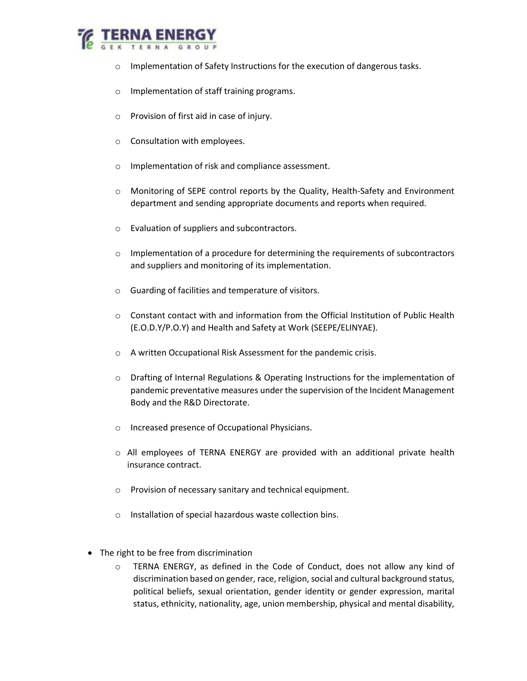

- o Implementation of Safety Instructions for the execution of dangerous tasks.
- o Implementation of staff training programs.
- o Provision of first aid in case of injury.
- o Consultation with employees.
- o Implementation of risk and compliance assessment.
- o Monitoring of SEPE control reports by the Quality, Health-Safety and Environment department and sending appropriate documents and reports when required.
- o Evaluation of suppliers and subcontractors.
- $\circ$  Implementation of a procedure for determining the requirements of subcontractors and suppliers and monitoring of its implementation.
- o Guarding of facilities and temperature of visitors.
- $\circ$  Constant contact with and information from the Official Institution of Public Health (E.O.D.Y/P.O.Y) and Health and Safety at Work (SEEPE/ELINYAE).
- o A written Occupational Risk Assessment for the pandemic crisis.
- o Drafting of Internal Regulations & Operating Instructions for the implementation of pandemic preventative measures under the supervision of the Incident Management Body and the R&D Directorate.
- o Increased presence of Occupational Physicians.
- o All employees of TERNA ENERGY are provided with an additional private health insurance contract.
- o Provision of necessary sanitary and technical equipment.
- o Installation of special hazardous waste collection bins.
- The right to be free from discrimination
	- o TERNA ENERGY, as defined in the Code of Conduct, does not allow any kind of discrimination based on gender, race, religion, social and cultural background status, political beliefs, sexual orientation, gender identity or gender expression, marital status, ethnicity, nationality, age, union membership, physical and mental disability,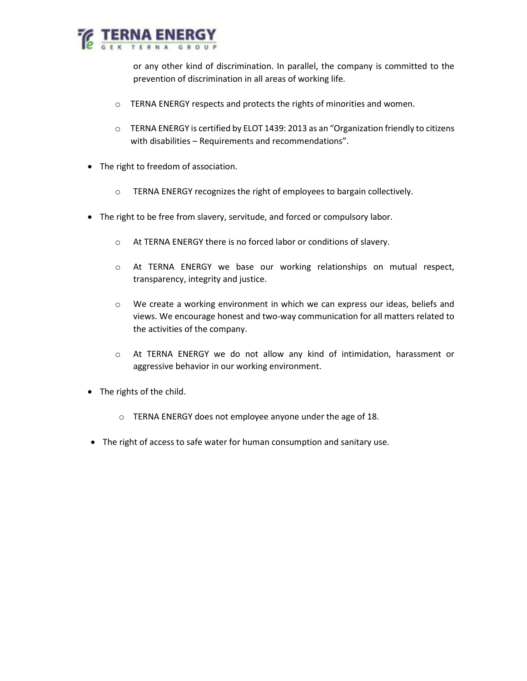

or any other kind of discrimination. In parallel, the company is committed to the prevention of discrimination in all areas of working life.

- o TERNA ENERGY respects and protects the rights of minorities and women.
- o TERNA ENERGY is certified by ELOT 1439: 2013 as an "Organization friendly to citizens with disabilities – Requirements and recommendations".
- The right to freedom of association.
	- o TERNA ENERGY recognizes the right of employees to bargain collectively.
- The right to be free from slavery, servitude, and forced or compulsory labor.
	- o At TERNA ENERGY there is no forced labor or conditions of slavery.
	- o At TERNA ENERGY we base our working relationships on mutual respect, transparency, integrity and justice.
	- o We create a working environment in which we can express our ideas, beliefs and views. We encourage honest and two-way communication for all matters related to the activities of the company.
	- o At TERNA ENERGY we do not allow any kind of intimidation, harassment or aggressive behavior in our working environment.
- The rights of the child.
	- o TERNA ENERGY does not employee anyone under the age of 18.
- The right of access to safe water for human consumption and sanitary use.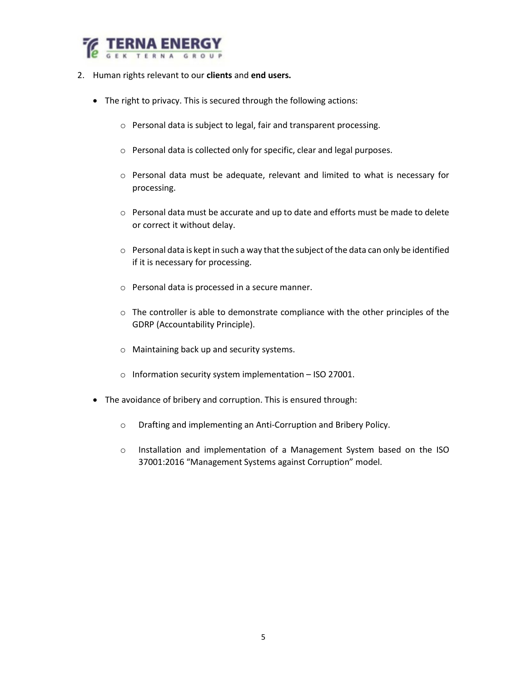

- 2. Human rights relevant to our **clients** and **end users.**
	- The right to privacy. This is secured through the following actions:
		- o Personal data is subject to legal, fair and transparent processing.
		- o Personal data is collected only for specific, clear and legal purposes.
		- o Personal data must be adequate, relevant and limited to what is necessary for processing.
		- o Personal data must be accurate and up to date and efforts must be made to delete or correct it without delay.
		- $\circ$  Personal data is kept in such a way that the subject of the data can only be identified if it is necessary for processing.
		- o Personal data is processed in a secure manner.
		- o The controller is able to demonstrate compliance with the other principles of the GDRP (Accountability Principle).
		- o Maintaining back up and security systems.
		- o Information security system implementation ISO 27001.
	- The avoidance of bribery and corruption. This is ensured through:
		- o Drafting and implementing an Anti-Corruption and Bribery Policy.
		- o Installation and implementation of a Management System based on the ISO 37001:2016 "Management Systems against Corruption" model.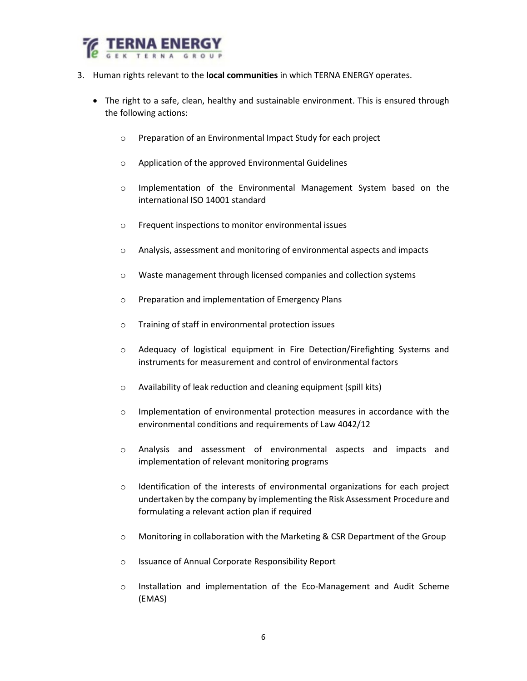

- 3. Human rights relevant to the **local communities** in which TERNA ENERGY operates.
	- The right to a safe, clean, healthy and sustainable environment. This is ensured through the following actions:
		- o Preparation of an Environmental Impact Study for each project
		- o Application of the approved Environmental Guidelines
		- o Implementation of the Environmental Management System based on the international ISO 14001 standard
		- o Frequent inspections to monitor environmental issues
		- o Analysis, assessment and monitoring of environmental aspects and impacts
		- o Waste management through licensed companies and collection systems
		- o Preparation and implementation of Emergency Plans
		- o Training of staff in environmental protection issues
		- o Adequacy of logistical equipment in Fire Detection/Firefighting Systems and instruments for measurement and control of environmental factors
		- o Availability of leak reduction and cleaning equipment (spill kits)
		- o Implementation of environmental protection measures in accordance with the environmental conditions and requirements of Law 4042/12
		- o Analysis and assessment of environmental aspects and impacts and implementation of relevant monitoring programs
		- o Identification of the interests of environmental organizations for each project undertaken by the company by implementing the Risk Assessment Procedure and formulating a relevant action plan if required
		- o Monitoring in collaboration with the Marketing & CSR Department of the Group
		- o Issuance of Annual Corporate Responsibility Report
		- o Installation and implementation of the Eco-Management and Audit Scheme (EMAS)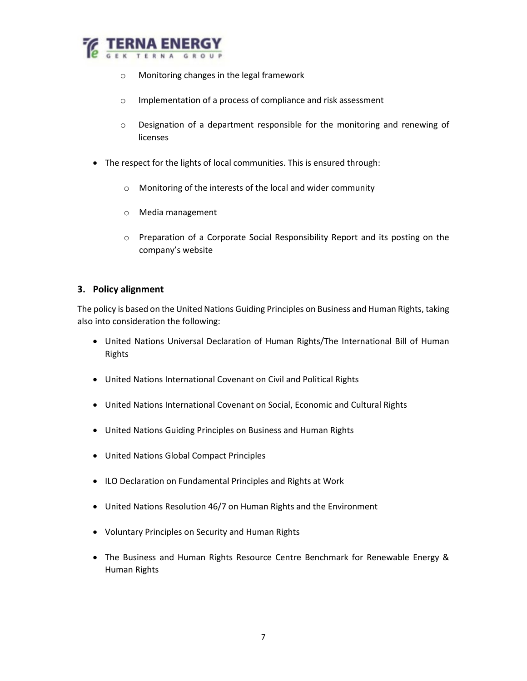

- o Monitoring changes in the legal framework
- o Implementation of a process of compliance and risk assessment
- $\circ$  Designation of a department responsible for the monitoring and renewing of licenses
- The respect for the lights of local communities. This is ensured through:
	- o Monitoring of the interests of the local and wider community
	- o Media management
	- o Preparation of a Corporate Social Responsibility Report and its posting on the company's website

#### **3. Policy alignment**

The policy is based on the United Nations Guiding Principles on Business and Human Rights, taking also into consideration the following:

- United Nations Universal Declaration of Human Rights/The International Bill of Human Rights
- United Nations International Covenant on Civil and Political Rights
- United Nations International Covenant on Social, Economic and Cultural Rights
- United Nations Guiding Principles on Business and Human Rights
- United Nations Global Compact Principles
- ILO Declaration on Fundamental Principles and Rights at Work
- United Nations Resolution 46/7 on Human Rights and the Environment
- Voluntary Principles on Security and Human Rights
- The Business and Human Rights Resource Centre Benchmark for Renewable Energy & Human Rights